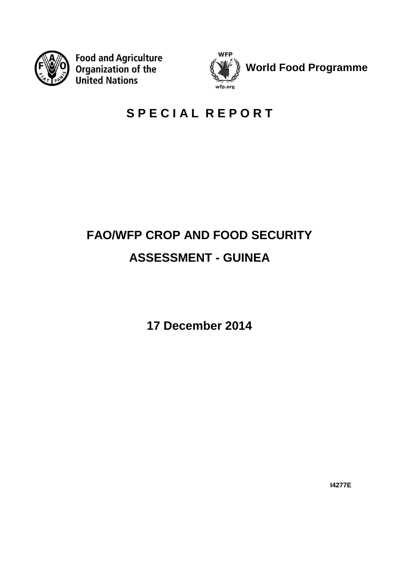

**Food and Agriculture Organization of the United Nations** 



## **S P E C I A L R E P O R T**

# **FAO/WFP CROP AND FOOD SECURITY ASSESSMENT - GUINEA**

**17 December 2014**

**I4277E**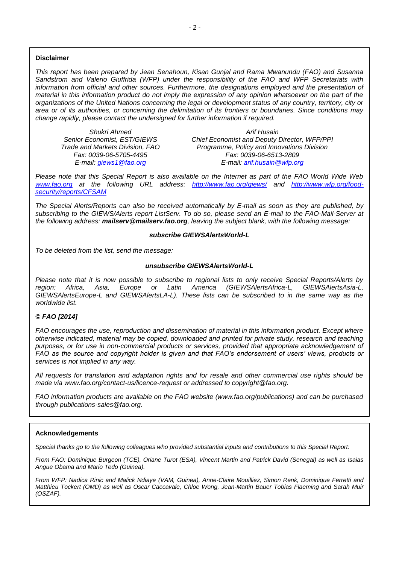*This report has been prepared by Jean Senahoun, Kisan Gunjal and Rama Mwanundu (FAO) and Susanna Sandstrom and Valerio Giuffrida (WFP) under the responsibility of the FAO and WFP Secretariats with*  information from official and other sources. Furthermore, the designations employed and the presentation of *material in this information product do not imply the expression of any opinion whatsoever on the part of the organizations of the United Nations concerning the legal or development status of any country, territory, city or area or of its authorities, or concerning the delimitation of its frontiers or boundaries. Since conditions may change rapidly, please contact the undersigned for further information if required.*

*Shukri Ahmed Arif Husain*

*Chief Economist and Deputy Director, WFP/PPI Trade and Markets Division, FAO Programme, Policy and Innovations Division Fax: 0039-06-5705-4495 Fax: 0039-06-6513-2809 E-mail: [giews1@fao.org](mailto:giews1@fao.org) E-mail: [arif.husain@wfp.org](mailto:arif.husain@wfp.org)*

*Please note that this Special Report is also available on the Internet as part of the FAO World Wide Web [www.fao.org](http://www.fao.org/) at the following URL address: <http://www.fao.org/giews/> and [http://www.wfp.org/food](http://www.wfp.org/food-security/reports/CFSAM)[security/reports/CFSAM](http://www.wfp.org/food-security/reports/CFSAM)*

*The Special Alerts/Reports can also be received automatically by E-mail as soon as they are published, by subscribing to the GIEWS/Alerts report ListServ. To do so, please send an E-mail to the FAO-Mail-Server at the following address: mailserv@mailserv.fao.org, leaving the subject blank, with the following message:*

#### *subscribe GIEWSAlertsWorld-L*

*To be deleted from the list, send the message:*

#### *unsubscribe GIEWSAlertsWorld-L*

*Please note that it is now possible to subscribe to regional lists to only receive Special Reports/Alerts by region: Africa, Asia, Europe or Latin America (GIEWSAlertsAfrica-L, GIEWSAlertsAsia-L, GIEWSAlertsEurope-L and GIEWSAlertsLA-L). These lists can be subscribed to in the same way as the worldwide list.*

#### *© FAO [2014]*

*FAO encourages the use, reproduction and dissemination of material in this information product. Except where otherwise indicated, material may be copied, downloaded and printed for private study, research and teaching purposes, or for use in non-commercial products or services, provided that appropriate acknowledgement of FAO as the source and copyright holder is given and that FAO's endorsement of users' views, products or services is not implied in any way.*

*All requests for translation and adaptation rights and for resale and other commercial use rights should be made via www.fao.org/contact-us/licence-request or addressed to copyright@fao.org.*

*FAO information products are available on the FAO website (www.fao.org/publications) and can be purchased through publications-sales@fao.org.*

#### **Acknowledgements**

*Special thanks go to the following colleagues who provided substantial inputs and contributions to this Special Report:*

*From FAO: Dominique Burgeon (TCE), Oriane Turot (ESA), Vincent Martin and Patrick David (Senegal) as well as Isaias Angue Obama and Mario Tedo (Guinea).*

*From WFP: Nadica Rinic and Malick Ndiaye (VAM, Guinea), Anne-Claire Mouilliez, Simon Renk, Dominique Ferretti and Matthieu Tockert (OMD) as well as Oscar Caccavale, Chloe Wong, Jean-Martin Bauer Tobias Flaeming and Sarah Muir (OSZAF).*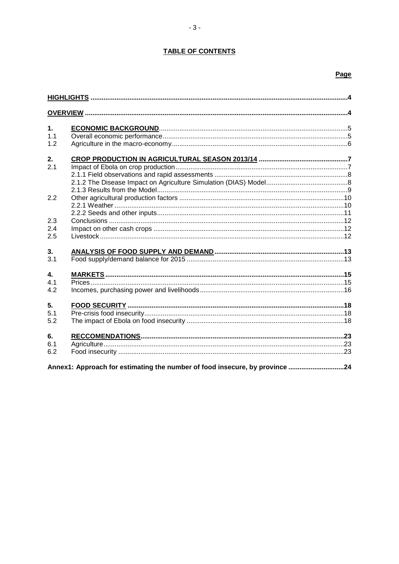## **TABLE OF CONTENTS**

## Page

| 1.  |                                                                             |  |
|-----|-----------------------------------------------------------------------------|--|
| 1.1 |                                                                             |  |
| 1.2 |                                                                             |  |
| 2.  |                                                                             |  |
| 2.1 |                                                                             |  |
|     |                                                                             |  |
|     |                                                                             |  |
|     |                                                                             |  |
| 2.2 |                                                                             |  |
|     |                                                                             |  |
|     |                                                                             |  |
| 2.3 |                                                                             |  |
| 2.4 |                                                                             |  |
| 2.5 |                                                                             |  |
| 3.  |                                                                             |  |
| 3.1 |                                                                             |  |
| 4.  |                                                                             |  |
| 4.1 |                                                                             |  |
| 4.2 |                                                                             |  |
| 5.  |                                                                             |  |
| 5.1 |                                                                             |  |
| 5.2 |                                                                             |  |
| 6.  |                                                                             |  |
| 6.1 |                                                                             |  |
| 6.2 |                                                                             |  |
|     | Annex1: Approach for estimating the number of food insecure, by province 24 |  |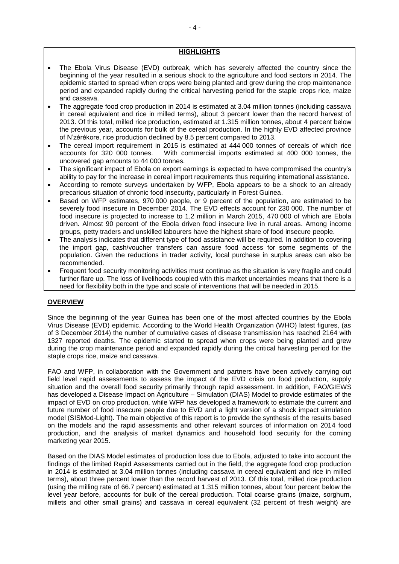#### **HIGHLIGHTS**

- The Ebola Virus Disease (EVD) outbreak, which has severely affected the country since the beginning of the year resulted in a serious shock to the agriculture and food sectors in 2014. The epidemic started to spread when crops were being planted and grew during the crop maintenance period and expanded rapidly during the critical harvesting period for the staple crops rice, maize and cassava.
- The aggregate food crop production in 2014 is estimated at 3.04 million tonnes (including cassava in cereal equivalent and rice in milled terms), about 3 percent lower than the record harvest of 2013. Of this total, milled rice production, estimated at 1.315 million tonnes, about 4 percent below the previous year, accounts for bulk of the cereal production. In the highly EVD affected province of N'zérékore, rice production declined by 8.5 percent compared to 2013.
- The cereal import requirement in 2015 is estimated at 444 000 tonnes of cereals of which rice<br>accounts for 320 000 tonnes. With commercial imports estimated at 400 000 tonnes, the With commercial imports estimated at 400 000 tonnes, the uncovered gap amounts to 44 000 tonnes.
- The significant impact of Ebola on export earnings is expected to have compromised the country's ability to pay for the increase in cereal import requirements thus requiring international assistance.
- According to remote surveys undertaken by WFP, Ebola appears to be a shock to an already precarious situation of chronic food insecurity, particularly in Forest Guinea.
- Based on WFP estimates, 970 000 people, or 9 percent of the population, are estimated to be severely food insecure in December 2014. The EVD effects account for 230 000. The number of food insecure is projected to increase to 1.2 million in March 2015, 470 000 of which are Ebola driven. Almost 90 percent of the Ebola driven food insecure live in rural areas. Among income groups, petty traders and unskilled labourers have the highest share of food insecure people.
- The analysis indicates that different type of food assistance will be required. In addition to covering the import gap, cash/voucher transfers can assure food access for some segments of the population. Given the reductions in trader activity, local purchase in surplus areas can also be recommended.
- Frequent food security monitoring activities must continue as the situation is very fragile and could further flare up. The loss of livelihoods coupled with this market uncertainties means that there is a need for flexibility both in the type and scale of interventions that will be needed in 2015.

## **OVERVIEW**

Since the beginning of the year Guinea has been one of the most affected countries by the Ebola Virus Disease (EVD) epidemic. According to the World Health Organization (WHO) latest figures, (as of 3 December 2014) the number of cumulative cases of disease transmission has reached 2164 with 1327 reported deaths. The epidemic started to spread when crops were being planted and grew during the crop maintenance period and expanded rapidly during the critical harvesting period for the staple crops rice, maize and cassava.

FAO and WFP, in collaboration with the Government and partners have been actively carrying out field level rapid assessments to assess the impact of the EVD crisis on food production, supply situation and the overall food security primarily through rapid assessment. In addition, FAO/GIEWS has developed a Disease Impact on Agriculture – Simulation (DIAS) Model to provide estimates of the impact of EVD on crop production, while WFP has developed a framework to estimate the current and future number of food insecure people due to EVD and a light version of a shock impact simulation model (SISMod-Light). The main objective of this report is to provide the synthesis of the results based on the models and the rapid assessments and other relevant sources of information on 2014 food production, and the analysis of market dynamics and household food security for the coming marketing year 2015.

Based on the DIAS Model estimates of production loss due to Ebola, adjusted to take into account the findings of the limited Rapid Assessments carried out in the field, the aggregate food crop production in 2014 is estimated at 3.04 million tonnes (including cassava in cereal equivalent and rice in milled terms), about three percent lower than the record harvest of 2013. Of this total, milled rice production (using the milling rate of 66.7 percent) estimated at 1.315 million tonnes, about four percent below the level year before, accounts for bulk of the cereal production. Total coarse grains (maize, sorghum, millets and other small grains) and cassava in cereal equivalent (32 percent of fresh weight) are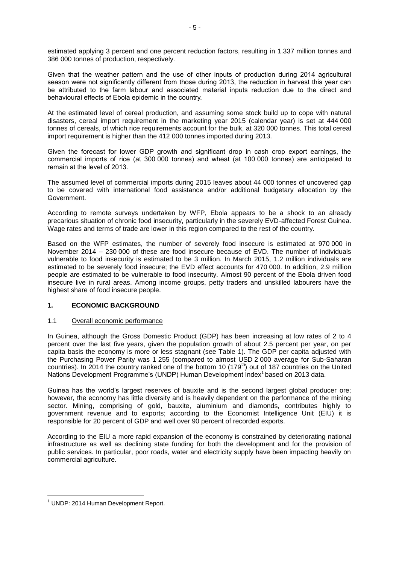estimated applying 3 percent and one percent reduction factors, resulting in 1.337 million tonnes and 386 000 tonnes of production, respectively.

Given that the weather pattern and the use of other inputs of production during 2014 agricultural season were not significantly different from those during 2013, the reduction in harvest this year can be attributed to the farm labour and associated material inputs reduction due to the direct and behavioural effects of Ebola epidemic in the country.

At the estimated level of cereal production, and assuming some stock build up to cope with natural disasters, cereal import requirement in the marketing year 2015 (calendar year) is set at 444 000 tonnes of cereals, of which rice requirements account for the bulk, at 320 000 tonnes. This total cereal import requirement is higher than the 412 000 tonnes imported during 2013.

Given the forecast for lower GDP growth and significant drop in cash crop export earnings, the commercial imports of rice (at 300 000 tonnes) and wheat (at 100 000 tonnes) are anticipated to remain at the level of 2013.

The assumed level of commercial imports during 2015 leaves about 44 000 tonnes of uncovered gap to be covered with international food assistance and/or additional budgetary allocation by the Government.

According to remote surveys undertaken by WFP, Ebola appears to be a shock to an already precarious situation of chronic food insecurity, particularly in the severely EVD-affected Forest Guinea. Wage rates and terms of trade are lower in this region compared to the rest of the country.

Based on the WFP estimates, the number of severely food insecure is estimated at 970 000 in November 2014 – 230 000 of these are food insecure because of EVD. The number of individuals vulnerable to food insecurity is estimated to be 3 million. In March 2015, 1.2 million individuals are estimated to be severely food insecure; the EVD effect accounts for 470 000. In addition, 2.9 million people are estimated to be vulnerable to food insecurity. Almost 90 percent of the Ebola driven food insecure live in rural areas. Among income groups, petty traders and unskilled labourers have the highest share of food insecure people.

## **1. ECONOMIC BACKGROUND**

#### 1.1 Overall economic performance

In Guinea, although the Gross Domestic Product (GDP) has been increasing at low rates of 2 to 4 percent over the last five years, given the population growth of about 2.5 percent per year, on per capita basis the economy is more or less stagnant (see Table 1). The GDP per capita adjusted with the Purchasing Power Parity was 1 255 (compared to almost USD 2 000 average for Sub-Saharan countries). In 2014 the country ranked one of the bottom 10 (179<sup>th</sup>) out of 187 countries on the United Nations Development Programme's (UNDP) Human Development Index<sup>1</sup> based on 2013 data.

Guinea has the world's largest reserves of bauxite and is the second largest global producer ore; however, the economy has little diversity and is heavily dependent on the performance of the mining sector. Mining, comprising of gold, bauxite, aluminium and diamonds, contributes highly to government revenue and to exports; according to the Economist Intelligence Unit (EIU) it is responsible for 20 percent of GDP and well over 90 percent of recorded exports.

According to the EIU a more rapid expansion of the economy is constrained by deteriorating national infrastructure as well as declining state funding for both the development and for the provision of public services. In particular, poor roads, water and electricity supply have been impacting heavily on commercial agriculture.

 $\overline{a}$ 

 $1$  UNDP: 2014 Human Development Report.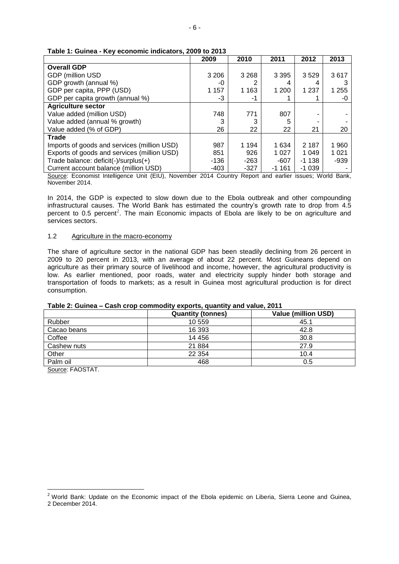|                                             | 2009    | 2010    | 2011    | 2012    | 2013    |
|---------------------------------------------|---------|---------|---------|---------|---------|
| <b>Overall GDP</b>                          |         |         |         |         |         |
| <b>GDP</b> (million USD                     | 3 2 0 6 | 3 2 6 8 | 3 3 9 5 | 3529    | 3617    |
| GDP growth (annual %)                       | -0      |         | 4       | 4       |         |
| GDP per capita, PPP (USD)                   | 1 1 5 7 | 1 1 6 3 | 1 200   | 1 2 3 7 | 1 2 5 5 |
| GDP per capita growth (annual %)            | -3      | -1      |         |         | -0      |
| <b>Agriculture sector</b>                   |         |         |         |         |         |
| Value added (million USD)                   | 748     | 771     | 807     |         |         |
| Value added (annual % growth)               | 3       |         | 5       |         |         |
| Value added (% of GDP)                      | 26      | 22      | 22      | 21      | 20      |
| <b>Trade</b>                                |         |         |         |         |         |
| Imports of goods and services (million USD) | 987     | 1 194   | 1 634   | 2 1 8 7 | 1960    |
| Exports of goods and services (million USD) | 851     | 926     | 1 0 2 7 | 1 0 4 9 | 1 0 2 1 |
| Trade balance: deficit(-)/surplus(+)        | -136    | $-263$  | $-607$  | $-1138$ | $-939$  |
| Current account balance (million USD)       | -403    | $-327$  | $-1161$ | $-1039$ |         |

#### **Table 1: Guinea - Key economic indicators, 2009 to 2013**

Source: Economist Intelligence Unit (EIU), November 2014 Country Report and earlier issues; World Bank, November 2014.

In 2014, the GDP is expected to slow down due to the Ebola outbreak and other compounding infrastructural causes. The World Bank has estimated the country's growth rate to drop from 4.5 percent to 0.5 percent<sup>2</sup>. The main Economic impacts of Ebola are likely to be on agriculture and services sectors.

#### 1.2 Agriculture in the macro-economy

The share of agriculture sector in the national GDP has been steadily declining from 26 percent in 2009 to 20 percent in 2013, with an average of about 22 percent. Most Guineans depend on agriculture as their primary source of livelihood and income, however, the agricultural productivity is low. As earlier mentioned, poor roads, water and electricity supply hinder both storage and transportation of foods to markets; as a result in Guinea most agricultural production is for direct consumption.

#### **Table 2: Guinea – Cash crop commodity exports, quantity and value, 2011**

|             | <b>Quantity (tonnes)</b> | <b>Value (million USD)</b> |
|-------------|--------------------------|----------------------------|
| Rubber      | 10 559                   | 45.1                       |
| Cacao beans | 16 393                   | 42.8                       |
| Coffee      | 14 45 6                  | 30.8                       |
| Cashew nuts | 21 8 84                  | 27.9                       |
| Other       | 22 3 54                  | 10.4                       |
| Palm oil    | 468                      | 0.5                        |

Source: FAOSTAT.

 $\overline{a}$ 

<sup>&</sup>lt;sup>2</sup> World Bank: Update on the Economic impact of the Ebola epidemic on Liberia, Sierra Leone and Guinea, 2 December 2014.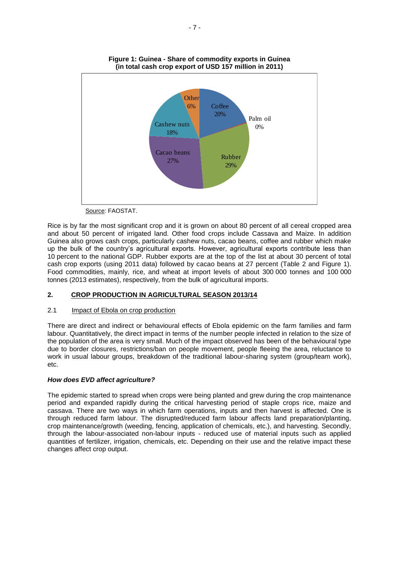

**Figure 1: Guinea - Share of commodity exports in Guinea (in total cash crop export of USD 157 million in 2011)**

Source: FAOSTAT.

Rice is by far the most significant crop and it is grown on about 80 percent of all cereal cropped area and about 50 percent of irrigated land. Other food crops include Cassava and Maize. In addition Guinea also grows cash crops, particularly cashew nuts, cacao beans, coffee and rubber which make up the bulk of the country's agricultural exports. However, agricultural exports contribute less than 10 percent to the national GDP. Rubber exports are at the top of the list at about 30 percent of total cash crop exports (using 2011 data) followed by cacao beans at 27 percent (Table 2 and Figure 1). Food commodities, mainly, rice, and wheat at import levels of about 300 000 tonnes and 100 000 tonnes (2013 estimates), respectively, from the bulk of agricultural imports.

## **2. CROP PRODUCTION IN AGRICULTURAL SEASON 2013/14**

## 2.1 Impact of Ebola on crop production

There are direct and indirect or behavioural effects of Ebola epidemic on the farm families and farm labour. Quantitatively, the direct impact in terms of the number people infected in relation to the size of the population of the area is very small. Much of the impact observed has been of the behavioural type due to border closures, restrictions/ban on people movement, people fleeing the area, reluctance to work in usual labour groups, breakdown of the traditional labour-sharing system (group/team work), etc.

## *How does EVD affect agriculture?*

The epidemic started to spread when crops were being planted and grew during the crop maintenance period and expanded rapidly during the critical harvesting period of staple crops rice, maize and cassava. There are two ways in which farm operations, inputs and then harvest is affected. One is through reduced farm labour. The disrupted/reduced farm labour affects land preparation/planting, crop maintenance/growth (weeding, fencing, application of chemicals, etc.), and harvesting. Secondly, through the labour-associated non-labour inputs - reduced use of material inputs such as applied quantities of fertilizer, irrigation, chemicals, etc. Depending on their use and the relative impact these changes affect crop output.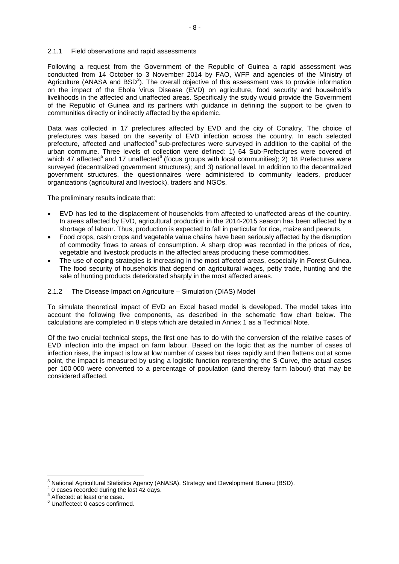#### 2.1.1 Field observations and rapid assessments

Following a request from the Government of the Republic of Guinea a rapid assessment was conducted from 14 October to 3 November 2014 by FAO, WFP and agencies of the Ministry of Agriculture (ANASA and BSD<sup>3</sup>). The overall objective of this assessment was to provide information on the impact of the Ebola Virus Disease (EVD) on agriculture, food security and household's livelihoods in the affected and unaffected areas. Specifically the study would provide the Government of the Republic of Guinea and its partners with guidance in defining the support to be given to communities directly or indirectly affected by the epidemic.

Data was collected in 17 prefectures affected by EVD and the city of Conakry. The choice of prefectures was based on the severity of EVD infection across the country. In each selected prefecture, affected and unaffected<sup>4</sup> sub-prefectures were surveyed in addition to the capital of the urban commune. Three levels of collection were defined: 1) 64 Sub-Prefectures were covered of which 47 affected<sup>5</sup> and 17 unaffected<sup>6</sup> (focus groups with local communities); 2) 18 Prefectures were surveyed (decentralized government structures); and 3) national level. In addition to the decentralized government structures, the questionnaires were administered to community leaders, producer organizations (agricultural and livestock), traders and NGOs.

The preliminary results indicate that:

- EVD has led to the displacement of households from affected to unaffected areas of the country. In areas affected by EVD, agricultural production in the 2014-2015 season has been affected by a shortage of labour. Thus, production is expected to fall in particular for rice, maize and peanuts.
- Food crops, cash crops and vegetable value chains have been seriously affected by the disruption of commodity flows to areas of consumption. A sharp drop was recorded in the prices of rice, vegetable and livestock products in the affected areas producing these commodities.
- The use of coping strategies is increasing in the most affected areas, especially in Forest Guinea. The food security of households that depend on agricultural wages, petty trade, hunting and the sale of hunting products deteriorated sharply in the most affected areas.

#### 2.1.2 The Disease Impact on Agriculture – Simulation (DIAS) Model

To simulate theoretical impact of EVD an Excel based model is developed. The model takes into account the following five components, as described in the schematic flow chart below. The calculations are completed in 8 steps which are detailed in Annex 1 as a Technical Note.

Of the two crucial technical steps, the first one has to do with the conversion of the relative cases of EVD infection into the impact on farm labour. Based on the logic that as the number of cases of infection rises, the impact is low at low number of cases but rises rapidly and then flattens out at some point, the impact is measured by using a logistic function representing the S-Curve, the actual cases per 100 000 were converted to a percentage of population (and thereby farm labour) that may be considered affected.

 $\overline{a}$ <sup>3</sup> National Agricultural Statistics Agency (ANASA), Strategy and Development Bureau (BSD).

<sup>&</sup>lt;sup>4</sup> 0 cases recorded during the last 42 days.

<sup>&</sup>lt;sup>5</sup> Affected: at least one case.

<sup>6</sup> Unaffected: 0 cases confirmed.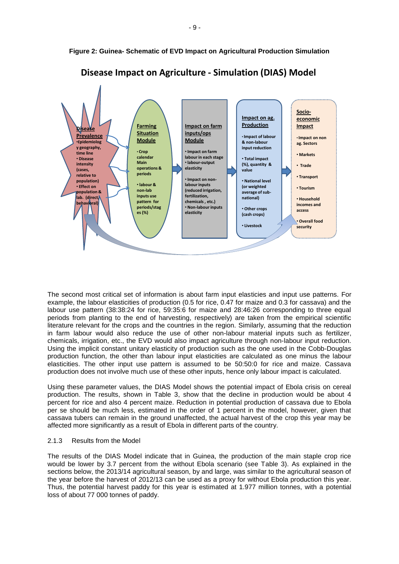

**Figure 2: Guinea- Schematic of EVD Impact on Agricultural Production Simulation**

The second most critical set of information is about farm input elasticies and input use patterns. For example, the labour elasticities of production (0.5 for rice, 0.47 for maize and 0.3 for cassava) and the labour use pattern (38:38:24 for rice, 59:35:6 for maize and 28:46:26 corresponding to three equal periods from planting to the end of harvesting, respectively) are taken from the empirical scientific literature relevant for the crops and the countries in the region. Similarly, assuming that the reduction in farm labour would also reduce the use of other non-labour material inputs such as fertilizer, chemicals, irrigation, etc., the EVD would also impact agriculture through non-labour input reduction. Using the implicit constant unitary elasticity of production such as the one used in the Cobb-Douglas production function, the other than labour input elasticities are calculated as one minus the labour elasticities. The other input use pattern is assumed to be 50:50:0 for rice and maize. Cassava production does not involve much use of these other inputs, hence only labour impact is calculated.

Using these parameter values, the DIAS Model shows the potential impact of Ebola crisis on cereal production. The results, shown in Table 3, show that the decline in production would be about 4 percent for rice and also 4 percent maize. Reduction in potential production of cassava due to Ebola per se should be much less, estimated in the order of 1 percent in the model, however, given that cassava tubers can remain in the ground unaffected, the actual harvest of the crop this year may be affected more significantly as a result of Ebola in different parts of the country.

## 2.1.3 Results from the Model

The results of the DIAS Model indicate that in Guinea, the production of the main staple crop rice would be lower by 3.7 percent from the without Ebola scenario (see Table 3). As explained in the sections below, the 2013/14 agricultural season, by and large, was similar to the agricultural season of the year before the harvest of 2012/13 can be used as a proxy for without Ebola production this year. Thus, the potential harvest paddy for this year is estimated at 1.977 million tonnes, with a potential loss of about 77 000 tonnes of paddy.

- 9 -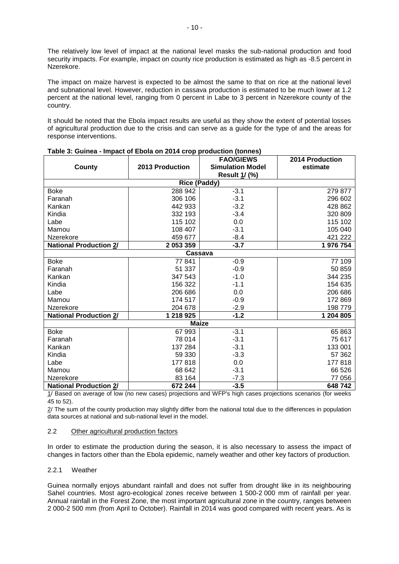The relatively low level of impact at the national level masks the sub-national production and food security impacts. For example, impact on county rice production is estimated as high as -8.5 percent in Nzerekore.

The impact on maize harvest is expected to be almost the same to that on rice at the national level and subnational level. However, reduction in cassava production is estimated to be much lower at 1.2 percent at the national level, ranging from 0 percent in Labe to 3 percent in Nzerekore county of the country.

It should be noted that the Ebola impact results are useful as they show the extent of potential losses of agricultural production due to the crisis and can serve as a guide for the type of and the areas for response interventions.

|                               |                     | <b>FAO/GIEWS</b>        | <b>2014 Production</b> |
|-------------------------------|---------------------|-------------------------|------------------------|
| County                        | 2013 Production     | <b>Simulation Model</b> | estimate               |
|                               |                     | Result 1/ (%)           |                        |
|                               | <b>Rice (Paddy)</b> |                         |                        |
| <b>Boke</b>                   | 288 942             | $-3.1$                  | 279 877                |
| Faranah                       | 306 106             | $-3.1$                  | 296 602                |
| Kankan                        | 442 933             | $-3.2$                  | 428 862                |
| Kindia                        | 332 193             | $-3.4$                  | 320 809                |
| Labe                          | 115 102             | 0.0                     | 115 102                |
| Mamou                         | 108 407             | $-3.1$                  | 105 040                |
| Nzerekore                     | 459 677             | $-8.4$                  | 421 222                |
| <b>National Production 2/</b> | 2 053 359           | $-3.7$                  | 1 976 754              |
|                               | Cassava             |                         |                        |
| <b>Boke</b>                   | 77841               | $-0.9$                  | 77 109                 |
| Faranah                       | 51 337              | $-0.9$                  | 50 859                 |
| Kankan                        | 347 543             | $-1.0$                  | 344 235                |
| Kindia                        | 156 322             | $-1.1$                  | 154 635                |
| Labe                          | 206 686             | 0.0                     | 206 686                |
| Mamou                         | 174 517             | $-0.9$                  | 172 869                |
| Nzerekore                     | 204 678             | $-2.9$                  | 198 779                |
| <b>National Production 2/</b> | 1 218 925           | $-1.2$                  | 1 204 805              |
|                               | <b>Maize</b>        |                         |                        |
| <b>Boke</b>                   | 67 993              | $-3.1$                  | 65 863                 |
| Faranah                       | 78 014              | $-3.1$                  | 75 617                 |
| Kankan                        | 137 284             | $-3.1$                  | 133 001                |
| Kindia                        | 59 330              | $-3.3$                  | 57 362                 |
| Labe                          | 177818              | 0.0                     | 177818                 |
| Mamou                         | 68 642              | $-3.1$                  | 66 526                 |
| Nzerekore                     | 83 164              | $-7.3$                  | 77 056                 |
| <b>National Production 2/</b> | 672 244             | $-3.5$                  | 648742                 |

#### **Table 3: Guinea - Impact of Ebola on 2014 crop production (tonnes)**

1/ Based on average of low (no new cases) projections and WFP's high cases projections scenarios (for weeks 45 to 52).

2/ The sum of the county production may slightly differ from the national total due to the differences in population data sources at national and sub-national level in the model.

## 2.2 Other agricultural production factors

In order to estimate the production during the season, it is also necessary to assess the impact of changes in factors other than the Ebola epidemic, namely weather and other key factors of production.

## 2.2.1 Weather

Guinea normally enjoys abundant rainfall and does not suffer from drought like in its neighbouring Sahel countries. Most agro-ecological zones receive between 1 500-2 000 mm of rainfall per year. Annual rainfall in the Forest Zone, the most important agricultural zone in the country, ranges between 2 000-2 500 mm (from April to October). Rainfall in 2014 was good compared with recent years. As is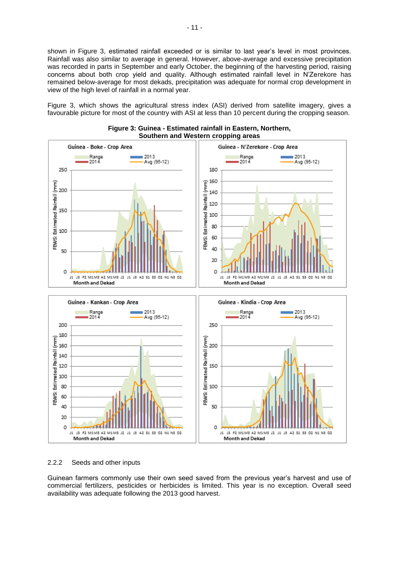shown in Figure 3, estimated rainfall exceeded or is similar to last year's level in most provinces. Rainfall was also similar to average in general. However, above-average and excessive precipitation was recorded in parts in September and early October, the beginning of the harvesting period, raising concerns about both crop yield and quality. Although estimated rainfall level in N'Zerekore has remained below-average for most dekads, precipitation was adequate for normal crop development in view of the high level of rainfall in a normal year.

Figure 3, which shows the agricultural stress index (ASI) derived from satellite imagery, gives a favourable picture for most of the country with ASI at less than 10 percent during the cropping season.





#### 2.2.2 Seeds and other inputs

Guinean farmers commonly use their own seed saved from the previous year's harvest and use of commercial fertilizers, pesticides or herbicides is limited. This year is no exception. Overall seed availability was adequate following the 2013 good harvest.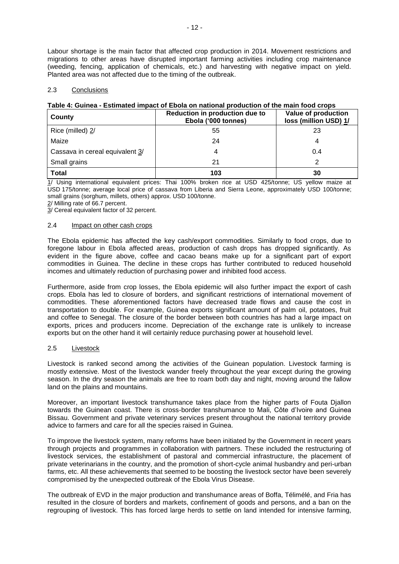Labour shortage is the main factor that affected crop production in 2014. Movement restrictions and migrations to other areas have disrupted important farming activities including crop maintenance (weeding, fencing, application of chemicals, etc.) and harvesting with negative impact on yield. Planted area was not affected due to the timing of the outbreak.

#### 2.3 Conclusions

#### **Table 4: Guinea - Estimated impact of Ebola on national production of the main food crops**

| County                          | Reduction in production due to<br>Ebola ('000 tonnes) | Value of production<br>loss (million USD) 1/ |
|---------------------------------|-------------------------------------------------------|----------------------------------------------|
| Rice (milled) 2/                | 55                                                    | 23                                           |
| Maize                           | 24                                                    | 4                                            |
| Cassava in cereal equivalent 3/ | 4                                                     | 0.4                                          |
| Small grains                    | 21                                                    |                                              |
| <b>Total</b>                    | 103                                                   | 30                                           |

1/ Using international equivalent prices: Thai 100% broken rice at USD 425/tonne; US yellow maize at USD 175/tonne; average local price of cassava from Liberia and Sierra Leone, approximately USD 100/tonne; small grains (sorghum, millets, others) approx. USD 100/tonne.

2/ Milling rate of 66.7 percent.

3/ Cereal equivalent factor of 32 percent.

#### 2.4 Impact on other cash crops

The Ebola epidemic has affected the key cash/export commodities. Similarly to food crops, due to foregone labour in Ebola affected areas, production of cash drops has dropped significantly. As evident in the figure above, coffee and cacao beans make up for a significant part of export commodities in Guinea. The decline in these crops has further contributed to reduced household incomes and ultimately reduction of purchasing power and inhibited food access.

Furthermore, aside from crop losses, the Ebola epidemic will also further impact the export of cash crops. Ebola has led to closure of borders, and significant restrictions of international movement of commodities. These aforementioned factors have decreased trade flows and cause the cost in transportation to double. For example, Guinea exports significant amount of palm oil, potatoes, fruit and coffee to Senegal. The closure of the border between both countries has had a large impact on exports, prices and producers income. Depreciation of the exchange rate is unlikely to increase exports but on the other hand it will certainly reduce purchasing power at household level.

#### 2.5 Livestock

Livestock is ranked second among the activities of the Guinean population. Livestock farming is mostly extensive. Most of the livestock wander freely throughout the year except during the growing season. In the dry season the animals are free to roam both day and night, moving around the fallow land on the plains and mountains.

Moreover, an important livestock transhumance takes place from the higher parts of Fouta Djallon towards the Guinean coast. There is cross-border transhumance to Mali, Côte d'Ivoire and Guinea Bissau. Government and private veterinary services present throughout the national territory provide advice to farmers and care for all the species raised in Guinea.

To improve the livestock system, many reforms have been initiated by the Government in recent years through projects and programmes in collaboration with partners. These included the restructuring of livestock services, the establishment of pastoral and commercial infrastructure, the placement of private veterinarians in the country, and the promotion of short-cycle animal husbandry and peri-urban farms, etc. All these achievements that seemed to be boosting the livestock sector have been severely compromised by the unexpected outbreak of the Ebola Virus Disease.

The outbreak of EVD in the major production and transhumance areas of Boffa, Télimélé, and Fria has resulted in the closure of borders and markets, confinement of goods and persons, and a ban on the regrouping of livestock. This has forced large herds to settle on land intended for intensive farming,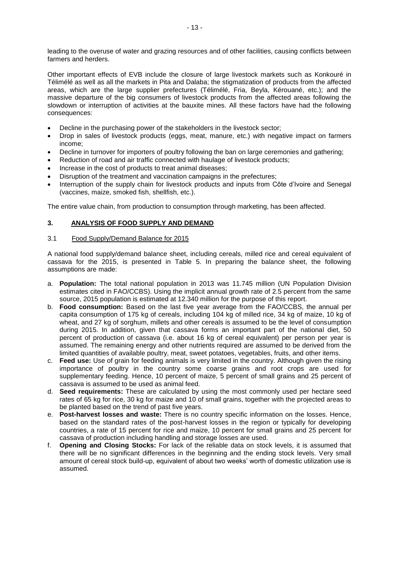leading to the overuse of water and grazing resources and of other facilities, causing conflicts between farmers and herders.

Other important effects of EVB include the closure of large livestock markets such as Konkouré in Télimélé as well as all the markets in Pita and Dalaba; the stigmatization of products from the affected areas, which are the large supplier prefectures (Télimélé, Fria, Beyla, Kérouané, etc.); and the massive departure of the big consumers of livestock products from the affected areas following the slowdown or interruption of activities at the bauxite mines. All these factors have had the following consequences:

- Decline in the purchasing power of the stakeholders in the livestock sector;
- Drop in sales of livestock products (eggs, meat, manure, etc.) with negative impact on farmers income;
- Decline in turnover for importers of poultry following the ban on large ceremonies and gathering;
- Reduction of road and air traffic connected with haulage of livestock products;
- Increase in the cost of products to treat animal diseases;
- Disruption of the treatment and vaccination campaigns in the prefectures;
- Interruption of the supply chain for livestock products and inputs from Côte d'Ivoire and Senegal (vaccines, maize, smoked fish, shellfish, etc.).

The entire value chain, from production to consumption through marketing, has been affected.

### **3. ANALYSIS OF FOOD SUPPLY AND DEMAND**

#### 3.1 Food Supply/Demand Balance for 2015

A national food supply/demand balance sheet, including cereals, milled rice and cereal equivalent of cassava for the 2015, is presented in Table 5. In preparing the balance sheet, the following assumptions are made:

- a. **Population:** The total national population in 2013 was 11.745 million (UN Population Division estimates cited in FAO/CCBS). Using the implicit annual growth rate of 2.5 percent from the same source, 2015 population is estimated at 12.340 million for the purpose of this report.
- b. **Food consumption:** Based on the last five year average from the FAO/CCBS, the annual per capita consumption of 175 kg of cereals, including 104 kg of milled rice, 34 kg of maize, 10 kg of wheat, and 27 kg of sorghum, millets and other cereals is assumed to be the level of consumption during 2015. In addition, given that cassava forms an important part of the national diet, 50 percent of production of cassava (i.e. about 16 kg of cereal equivalent) per person per year is assumed. The remaining energy and other nutrients required are assumed to be derived from the limited quantities of available poultry, meat, sweet potatoes, vegetables, fruits, and other items.
- c. **Feed use:** Use of grain for feeding animals is very limited in the country. Although given the rising importance of poultry in the country some coarse grains and root crops are used for supplementary feeding. Hence, 10 percent of maize, 5 percent of small grains and 25 percent of cassava is assumed to be used as animal feed.
- d. **Seed requirements:** These are calculated by using the most commonly used per hectare seed rates of 65 kg for rice, 30 kg for maize and 10 of small grains, together with the projected areas to be planted based on the trend of past five years.
- e. **Post-harvest losses and waste:** There is no country specific information on the losses. Hence, based on the standard rates of the post-harvest losses in the region or typically for developing countries, a rate of 15 percent for rice and maize, 10 percent for small grains and 25 percent for cassava of production including handling and storage losses are used.
- f. **Opening and Closing Stocks:** For lack of the reliable data on stock levels, it is assumed that there will be no significant differences in the beginning and the ending stock levels. Very small amount of cereal stock build-up, equivalent of about two weeks' worth of domestic utilization use is assumed.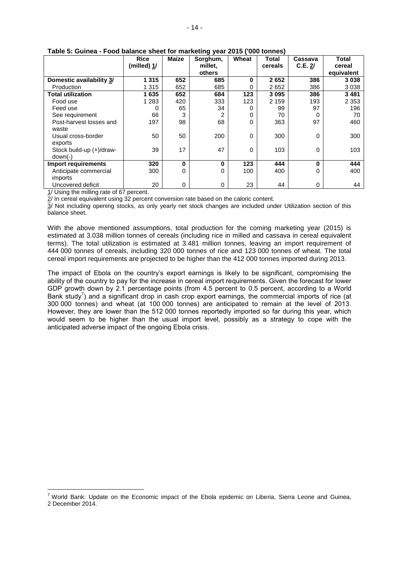|                                       | <b>Rice</b>         | <b>Maize</b> | ອາວ<br>Sorghum, | Wheat | <b>Total</b> | Cassava | Total      |
|---------------------------------------|---------------------|--------------|-----------------|-------|--------------|---------|------------|
|                                       | (milled) <u>1</u> / |              | millet.         |       | cereals      | C.E. 2/ | cereal     |
|                                       |                     |              | others          |       |              |         | equivalent |
| Domestic availability 3/              | 1 3 1 5             | 652          | 685             | 0     | 2652         | 386     | 3038       |
| Production                            | 1 3 1 5             | 652          | 685             | 0     | 2652         | 386     | 3038       |
| <b>Total utilization</b>              | 1635                | 652          | 684             | 123   | 3095         | 386     | 3481       |
| Food use                              | 1 2 8 3             | 420          | 333             | 123   | 2 1 5 9      | 193     | 2 3 5 3    |
| Feed use                              | 0                   | 65           | 34              | 0     | 99           | 97      | 196        |
| See requirement                       | 66                  | 3            | 2               | 0     | 70           | 0       | 70         |
| Post-harvest losses and<br>waste      | 197                 | 98           | 68              | 0     | 363          | 97      | 460        |
| Usual cross-border<br>exports         | 50                  | 50           | 200             | 0     | 300          | 0       | 300        |
| Stock build-up (+)/draw-<br>$down(-)$ | 39                  | 17           | 47              | 0     | 103          | 0       | 103        |
| Import requirements                   | 320                 | $\bf{0}$     | $\bf{0}$        | 123   | 444          | 0       | 444        |
| Anticipate commercial                 | 300                 | 0            | 0               | 100   | 400          | 0       | 400        |
| imports                               |                     |              |                 |       |              |         |            |
| Uncovered deficit                     | 20                  | 0            | 0               | 23    | 44           | 0       | 44         |

### **Table 5: Guinea - Food balance sheet for marketing year 2015 ('000 tonnes)**

1/ Using the milling rate of 67 percent.

 $\overline{a}$ 

2/ In cereal equivalent using 32 percent conversion rate based on the caloric content.

3/ Not including opening stocks, as only yearly net stock changes are included under Utilization section of this balance sheet.

With the above mentioned assumptions, total production for the coming marketing year (2015) is estimated at 3.038 million tonnes of cereals (including rice in milled and cassava in cereal equivalent terms). The total utilization is estimated at 3.481 million tonnes, leaving an import requirement of 444 000 tonnes of cereals, including 320 000 tonnes of rice and 123 000 tonnes of wheat. The total cereal import requirements are projected to be higher than the 412 000 tonnes imported during 2013.

The impact of Ebola on the country's export earnings is likely to be significant, compromising the ability of the country to pay for the increase in cereal import requirements. Given the forecast for lower GDP growth down by 2.1 percentage points (from 4.5 percent to 0.5 percent, according to a World Bank study<sup>7</sup>) and a significant drop in cash crop export earnings, the commercial imports of rice (at 300 000 tonnes) and wheat (at 100 000 tonnes) are anticipated to remain at the level of 2013. However, they are lower than the 512 000 tonnes reportedly imported so far during this year, which would seem to be higher than the usual import level, possibly as a strategy to cope with the anticipated adverse impact of the ongoing Ebola crisis.

 $<sup>7</sup>$  World Bank: Update on the Economic impact of the Ebola epidemic on Liberia, Sierra Leone and Guinea,</sup> 2 December 2014.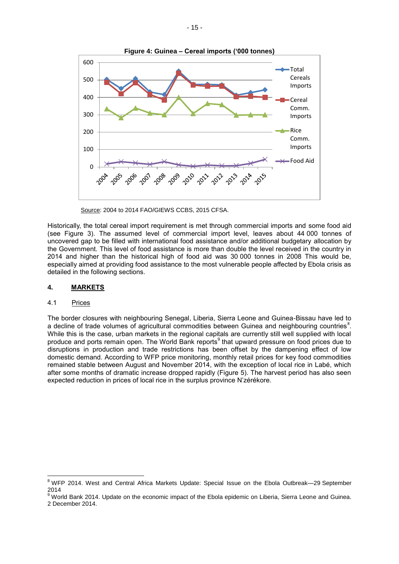

Source: 2004 to 2014 FAO/GIEWS CCBS, 2015 CFSA.

Historically, the total cereal import requirement is met through commercial imports and some food aid (see Figure 3). The assumed level of commercial import level, leaves about 44 000 tonnes of uncovered gap to be filled with international food assistance and/or additional budgetary allocation by the Government. This level of food assistance is more than double the level received in the country in 2014 and higher than the historical high of food aid was 30 000 tonnes in 2008 This would be, especially aimed at providing food assistance to the most vulnerable people affected by Ebola crisis as detailed in the following sections.

## **4. MARKETS**

## 4.1 Prices

 $\overline{a}$ 

The border closures with neighbouring Senegal, Liberia, Sierra Leone and Guinea-Bissau have led to a decline of trade volumes of agricultural commodities between Guinea and neighbouring countries<sup>8</sup>. While this is the case, urban markets in the regional capitals are currently still well supplied with local produce and ports remain open. The World Bank reports<sup>9</sup> that upward pressure on food prices due to disruptions in production and trade restrictions has been offset by the dampening effect of low domestic demand. According to WFP price monitoring, monthly retail prices for key food commodities remained stable between August and November 2014, with the exception of local rice in Labé, which after some months of dramatic increase dropped rapidly (Figure 5). The harvest period has also seen expected reduction in prices of local rice in the surplus province N'zérékore.

 $8$  WFP 2014. West and Central Africa Markets Update: Special Issue on the Ebola Outbreak—29 September 2014

<sup>&</sup>lt;sup>9</sup> World Bank 2014. Update on the economic impact of the Ebola epidemic on Liberia, Sierra Leone and Guinea. 2 December 2014.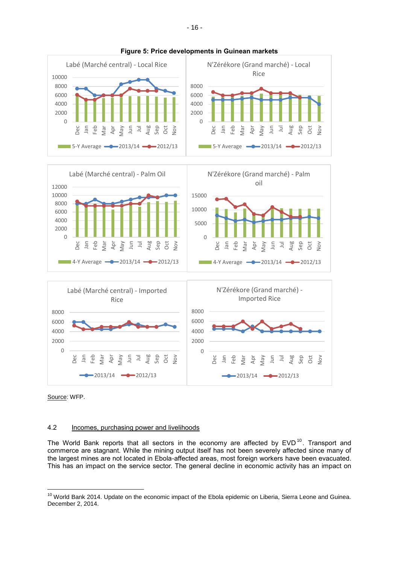

#### **Figure 5: Price developments in Guinean markets**

Source: WFP.

Dec Jan Feb Mar Apr May

 $\overline{a}$ 

## 4.2 Incomes, purchasing power and livelihoods

 $-2013/14$   $-2012/13$ 

Jun Jul Aug Sep Oct Nov

The World Bank reports that all sectors in the economy are affected by  $EVD^{10}$ . Transport and commerce are stagnant. While the mining output itself has not been severely affected since many of the largest mines are not located in Ebola-affected areas, most foreign workers have been evacuated. This has an impact on the service sector. The general decline in economic activity has an impact on

Dec Jan Feb Mar Apr May  $\Xi$  $\bar{a}$ Aug Sep Oct Nov

 $-$  2013/14  $-$  2012/13

<sup>&</sup>lt;sup>10</sup> World Bank 2014. Update on the economic impact of the Ebola epidemic on Liberia, Sierra Leone and Guinea. December 2, 2014.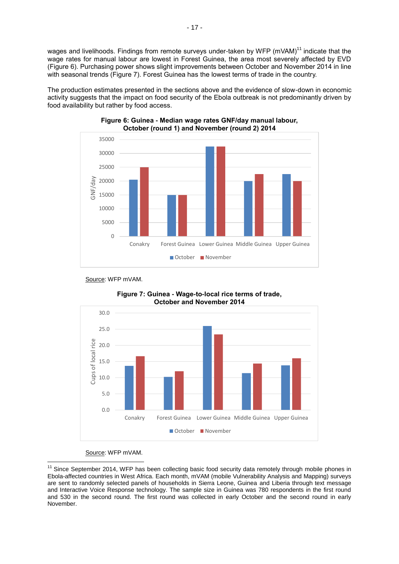wages and livelihoods. Findings from remote surveys under-taken by WFP (mVAM)<sup>11</sup> indicate that the wage rates for manual labour are lowest in Forest Guinea, the area most severely affected by EVD (Figure 6). Purchasing power shows slight improvements between October and November 2014 in line with seasonal trends (Figure 7). Forest Guinea has the lowest terms of trade in the country.

The production estimates presented in the sections above and the evidence of slow-down in economic activity suggests that the impact on food security of the Ebola outbreak is not predominantly driven by food availability but rather by food access.



**Figure 6: Guinea - Median wage rates GNF/day manual labour, October (round 1) and November (round 2) 2014**

Source: WFP mVAM.





#### Source: WFP mVAM.

 $\overline{a}$ <sup>11</sup> Since September 2014, WFP has been collecting basic food security data remotely through mobile phones in Ebola-affected countries in West Africa. Each month, mVAM (mobile Vulnerability Analysis and Mapping) surveys are sent to randomly selected panels of households in Sierra Leone, Guinea and Liberia through text message and Interactive Voice Response technology. The sample size in Guinea was 780 respondents in the first round and 530 in the second round. The first round was collected in early October and the second round in early November.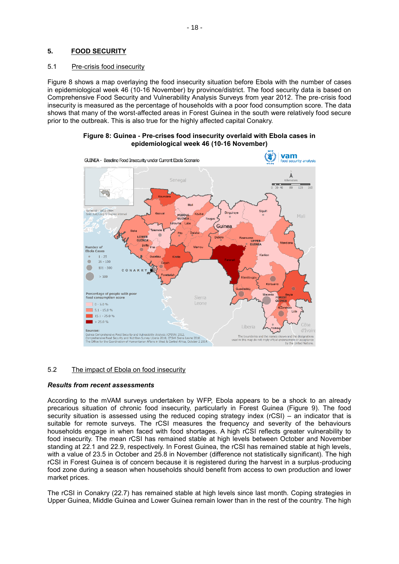## **5. FOOD SECURITY**

#### 5.1 Pre-crisis food insecurity

Figure 8 shows a map overlaying the food insecurity situation before Ebola with the number of cases in epidemiological week 46 (10-16 November) by province/district. The food security data is based on Comprehensive Food Security and Vulnerability Analysis Surveys from year 2012. The pre-crisis food insecurity is measured as the percentage of households with a poor food consumption score. The data shows that many of the worst-affected areas in Forest Guinea in the south were relatively food secure prior to the outbreak. This is also true for the highly affected capital Conakry.

#### **Figure 8: Guinea - Pre-crises food insecurity overlaid with Ebola cases in epidemiological week 46 (10-16 November)**



## 5.2 The impact of Ebola on food insecurity

#### *Results from recent assessments*

According to the mVAM surveys undertaken by WFP, Ebola appears to be a shock to an already precarious situation of chronic food insecurity, particularly in Forest Guinea (Figure 9). The food security situation is assessed using the reduced coping strategy index (rCSI) – an indicator that is suitable for remote surveys. The rCSI measures the frequency and severity of the behaviours households engage in when faced with food shortages. A high rCSI reflects greater vulnerability to food insecurity. The mean rCSI has remained stable at high levels between October and November standing at 22.1 and 22.9, respectively. In Forest Guinea, the rCSI has remained stable at high levels, with a value of 23.5 in October and 25.8 in November (difference not statistically significant). The high rCSI in Forest Guinea is of concern because it is registered during the harvest in a surplus-producing food zone during a season when households should benefit from access to own production and lower market prices.

The rCSI in Conakry (22.7) has remained stable at high levels since last month. Coping strategies in Upper Guinea, Middle Guinea and Lower Guinea remain lower than in the rest of the country. The high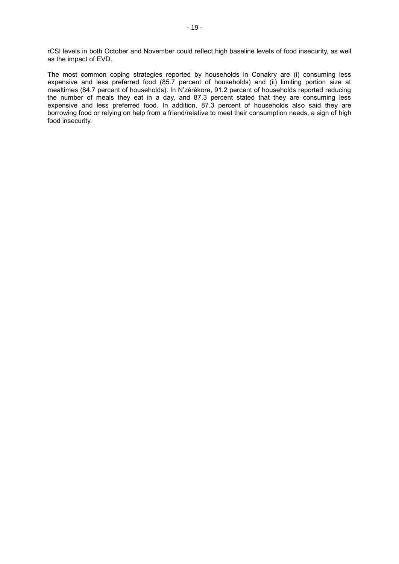rCSI levels in both October and November could reflect high baseline levels of food insecurity, as well as the impact of EVD.

The most common coping strategies reported by households in Conakry are (i) consuming less expensive and less preferred food (85.7 percent of households) and (ii) limiting portion size at mealtimes (84.7 percent of households). In N'zérékore, 91.2 percent of households reported reducing the number of meals they eat in a day, and 87.3 percent stated that they are consuming less expensive and less preferred food. In addition, 87.3 percent of households also said they are borrowing food or relying on help from a friend/relative to meet their consumption needs, a sign of high food insecurity.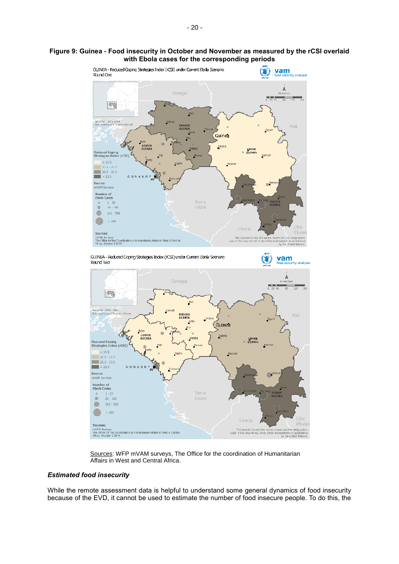#### **Figure 9: Guinea - Food insecurity in October and November as measured by the rCSI overlaid with Ebola cases for the corresponding periods**



Sources: WFP mVAM surveys, The Office for the coordination of Humanitarian Affairs in West and Central Africa.

The boundaries and the hames show<br>used in this map do not imply oficial endo

designations isement or acceptance

#### *Estimated food insecurity*

mVAM Surveys<br>The Office for the Coordination of Humanitarian Affairs in West & Central<br>Africa, October 2 2014

While the remote assessment data is helpful to understand some general dynamics of food insecurity because of the EVD, it cannot be used to estimate the number of food insecure people. To do this, the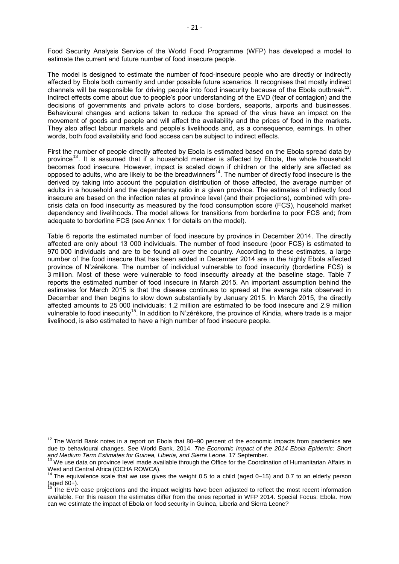Food Security Analysis Service of the World Food Programme (WFP) has developed a model to estimate the current and future number of food insecure people.

The model is designed to estimate the number of food-insecure people who are directly or indirectly affected by Ebola both currently and under possible future scenarios. It recognises that mostly indirect channels will be responsible for driving people into food insecurity because of the Ebola outbreak<sup>12</sup>. Indirect effects come about due to people's poor understanding of the EVD (fear of contagion) and the decisions of governments and private actors to close borders, seaports, airports and businesses. Behavioural changes and actions taken to reduce the spread of the virus have an impact on the movement of goods and people and will affect the availability and the prices of food in the markets. They also affect labour markets and people's livelihoods and, as a consequence, earnings. In other words, both food availability and food access can be subject to indirect effects.

First the number of people directly affected by Ebola is estimated based on the Ebola spread data by province<sup>13</sup>. It is assumed that if a household member is affected by Ebola, the whole household becomes food insecure. However, impact is scaled down if children or the elderly are affected as opposed to adults, who are likely to be the breadwinners<sup>14</sup>. The number of directly food insecure is the derived by taking into account the population distribution of those affected, the average number of adults in a household and the dependency ratio in a given province. The estimates of indirectly food insecure are based on the infection rates at province level (and their projections), combined with precrisis data on food insecurity as measured by the food consumption score (FCS), household market dependency and livelihoods. The model allows for transitions from borderline to poor FCS and; from adequate to borderline FCS (see Annex 1 for details on the model).

Table 6 reports the estimated number of food insecure by province in December 2014. The directly affected are only about 13 000 individuals. The number of food insecure (poor FCS) is estimated to 970 000 individuals and are to be found all over the country. According to these estimates, a large number of the food insecure that has been added in December 2014 are in the highly Ebola affected province of N'zérékore. The number of individual vulnerable to food insecurity (borderline FCS) is 3 million. Most of these were vulnerable to food insecurity already at the baseline stage. Table 7 reports the estimated number of food insecure in March 2015. An important assumption behind the estimates for March 2015 is that the disease continues to spread at the average rate observed in December and then begins to slow down substantially by January 2015. In March 2015, the directly affected amounts to 25 000 individuals; 1.2 million are estimated to be food insecure and 2.9 million vulnerable to food insecurity<sup>15</sup>. In addition to N'zérékore, the province of Kindia, where trade is a major livelihood, is also estimated to have a high number of food insecure people.

 $\overline{a}$ 

 $12$  The World Bank notes in a report on Ebola that 80–90 percent of the economic impacts from pandemics are due to behavioural changes. See World Bank. 2014. *The Economic Impact of the 2014 Ebola Epidemic: Short and Medium Term Estimates for Guinea, Liberia, and Sierra Leone.* 17 September.

<sup>&</sup>lt;sup>13</sup> We use data on province level made available through the Office for the Coordination of Humanitarian Affairs in West and Central Africa (OCHA ROWCA).

<sup>14</sup> The equivalence scale that we use gives the weight 0.5 to a child (aged 0–15) and 0.7 to an elderly person  $(gged 60+)$ .

The EVD case projections and the impact weights have been adjusted to reflect the most recent information available. For this reason the estimates differ from the ones reported in WFP 2014. Special Focus: Ebola. How can we estimate the impact of Ebola on food security in Guinea, Liberia and Sierra Leone?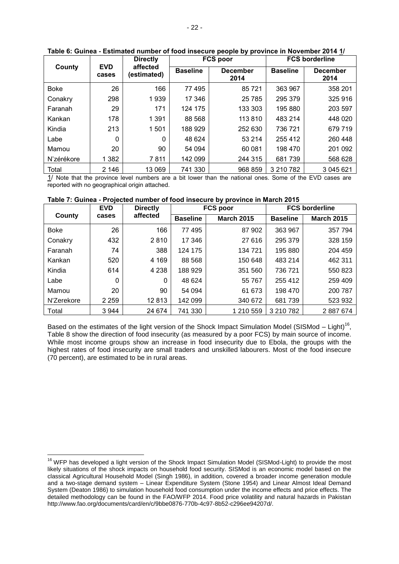|             | <b>Directly</b>     |                         |                 | <b>FCS poor</b>         | <b>FCS borderline</b> |                         |  |
|-------------|---------------------|-------------------------|-----------------|-------------------------|-----------------------|-------------------------|--|
| County      | <b>EVD</b><br>cases | affected<br>(estimated) | <b>Baseline</b> | <b>December</b><br>2014 | <b>Baseline</b>       | <b>December</b><br>2014 |  |
| <b>Boke</b> | 26                  | 166                     | 77 495          | 85721                   | 363 967               | 358 201                 |  |
| Conakry     | 298                 | 1939                    | 17 346          | 25 7 85                 | 295 379               | 325 916                 |  |
| Faranah     | 29                  | 171                     | 124 175         | 133 303                 | 195 880               | 203 597                 |  |
| Kankan      | 178                 | 1 3 9 1                 | 88 568          | 113 810                 | 483 214               | 448 020                 |  |
| Kindia      | 213                 | 1 501                   | 188 929         | 252 630                 | 736 721               | 679 719                 |  |
| Labe        | $\Omega$            | 0                       | 48 624          | 53 214                  | 255 412               | 260 448                 |  |
| Mamou       | 20                  | 90                      | 54 094          | 60 081                  | 198 470               | 201 092                 |  |
| N'zérékore  | 1 3 8 2             | 7811                    | 142 099         | 244 315                 | 681739                | 568 628                 |  |
| Total       | 2 146               | 13 069                  | 741 330         | 968 859                 | 3 210 782             | 3 045 621               |  |

#### **Table 6: Guinea - Estimated number of food insecure people by province in November 2014 1/**

1/ Note that the province level numbers are a bit lower than the national ones. Some of the EVD cases are reported with no geographical origin attached.

#### **Table 7: Guinea - Projected number of food insecure by province in March 2015**

| <b>EVD</b>  |         | <b>Directly</b> | <b>FCS poor</b> |                   |                 | <b>FCS borderline</b> |
|-------------|---------|-----------------|-----------------|-------------------|-----------------|-----------------------|
| County      | cases   | affected        | <b>Baseline</b> | <b>March 2015</b> | <b>Baseline</b> | <b>March 2015</b>     |
| <b>Boke</b> | 26      | 166             | 77 495          | 87 902            | 363 967         | 357 794               |
| Conakry     | 432     | 2810            | 17 346          | 27 616            | 295 379         | 328 159               |
| Faranah     | 74      | 388             | 124 175         | 134 721           | 195 880         | 204 459               |
| Kankan      | 520     | 4 1 6 9         | 88 568          | 150 648           | 483 214         | 462 311               |
| Kindia      | 614     | 4 2 3 8         | 188 929         | 351 560           | 736 721         | 550 823               |
| Labe        | 0       | 0               | 48 624          | 55 767            | 255 412         | 259 409               |
| Mamou       | 20      | 90              | 54 094          | 61 673            | 198 470         | 200 787               |
| N'Zerekore  | 2 2 5 9 | 12813           | 142 099         | 340 672           | 681 739         | 523 932               |
| Total       | 3 9 4 4 | 24 674          | 741 330         | 1 210 559         | 3 210 782       | 2887674               |

Based on the estimates of the light version of the Shock Impact Simulation Model (SISMod – Light)<sup>16</sup>, Table 8 show the direction of food insecurity (as measured by a poor FCS) by main source of income. While most income groups show an increase in food insecurity due to Ebola, the groups with the highest rates of food insecurity are small traders and unskilled labourers. Most of the food insecure (70 percent), are estimated to be in rural areas.

 $\overline{a}$ 

<sup>&</sup>lt;sup>16</sup> WFP has developed a light version of the Shock Impact Simulation Model (SISMod-Light) to provide the most likely situations of the shock impacts on household food security. SISMod is an economic model based on the classical Agricultural Household Model (Singh 1986), in addition, covered a broader income generation module and a two-stage demand system – Linear Expenditure System (Stone 1954) and Linear Almost Ideal Demand System (Deaton 1986) to simulation household food consumption under the income effects and price effects. The detailed methodology can be found in the FAO/WFP 2014. Food price volatility and natural hazards in Pakistan http://www.fao.org/documents/card/en/c/9bbe0876-770b-4c97-8b52-c296ee94207d/.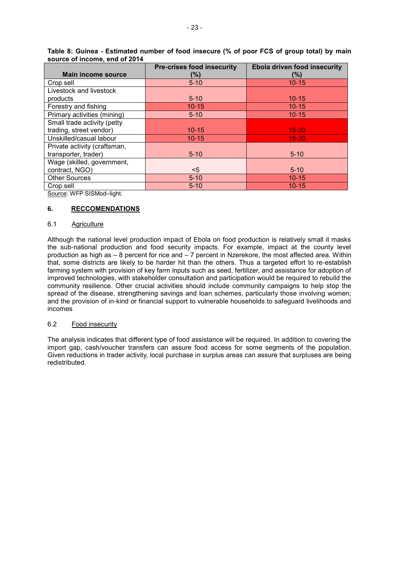|                              | <b>Pre-crises food insecurity</b> | <b>Ebola driven food insecurity</b> |
|------------------------------|-----------------------------------|-------------------------------------|
| <b>Main income source</b>    | (%)                               | (%)                                 |
| Crop sell                    | $5 - 10$                          | $10 - 15$                           |
| Livestock and livestock      |                                   |                                     |
| products                     | $5 - 10$                          | $10 - 15$                           |
| Forestry and fishing         | $10 - 15$                         | $10 - 15$                           |
| Primary activities (mining)  | $5 - 10$                          | $10 - 15$                           |
| Small trade activity (petty  |                                   |                                     |
| trading, street vendor)      | $10 - 15$                         | $15 - 20$                           |
| Unskilled/casual labour      | $10 - 15$                         | $15 - 20$                           |
| Private activity (craftsman, |                                   |                                     |
| transporter, trader)         | $5 - 10$                          | $5 - 10$                            |
| Wage (skilled, government,   |                                   |                                     |
| contract, NGO)               | $<$ 5                             | $5 - 10$                            |
| <b>Other Sources</b>         | $5 - 10$                          | $10 - 15$                           |
| Crop sell                    | $5 - 10$                          | $10 - 15$                           |

**Table 8: Guinea - Estimated number of food insecure (% of poor FCS of group total) by main source of income, end of 2014**

Source: WFP SISMod–light.

## **6. RECCOMENDATIONS**

## 6.1 Agriculture

Although the national level production impact of Ebola on food production is relatively small it masks the sub-national production and food security impacts. For example, impact at the county level production as high as – 8 percent for rice and – 7 percent in Nzerekore, the most affected area. Within that, some districts are likely to be harder hit than the others. Thus a targeted effort to re-establish farming system with provision of key farm inputs such as seed, fertilizer, and assistance for adoption of improved technologies, with stakeholder consultation and participation would be required to rebuild the community resilience. Other crucial activities should include community campaigns to help stop the spread of the disease, strengthening savings and loan schemes, particularly those involving women; and the provision of in-kind or financial support to vulnerable households to safeguard livelihoods and incomes

## 6.2 Food insecurity

The analysis indicates that different type of food assistance will be required. In addition to covering the import gap, cash/voucher transfers can assure food access for some segments of the population. Given reductions in trader activity, local purchase in surplus areas can assure that surpluses are being redistributed.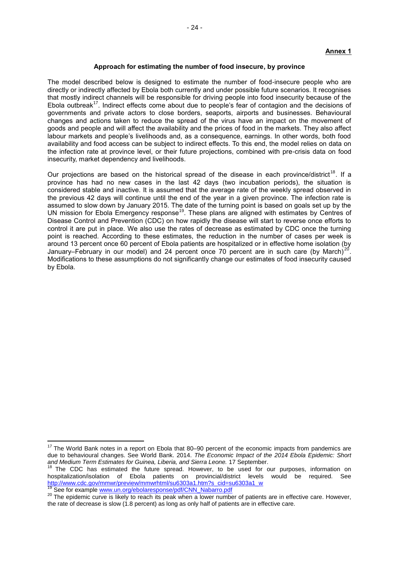#### **Annex 1**

#### **Approach for estimating the number of food insecure, by province**

The model described below is designed to estimate the number of food-insecure people who are directly or indirectly affected by Ebola both currently and under possible future scenarios. It recognises that mostly indirect channels will be responsible for driving people into food insecurity because of the Ebola outbreak<sup>17</sup>. Indirect effects come about due to people's fear of contagion and the decisions of governments and private actors to close borders, seaports, airports and businesses. Behavioural changes and actions taken to reduce the spread of the virus have an impact on the movement of goods and people and will affect the availability and the prices of food in the markets. They also affect labour markets and people's livelihoods and, as a consequence, earnings. In other words, both food availability and food access can be subject to indirect effects. To this end, the model relies on data on the infection rate at province level, or their future projections, combined with pre-crisis data on food insecurity, market dependency and livelihoods.

Our projections are based on the historical spread of the disease in each province/district<sup>18</sup>. If a province has had no new cases in the last 42 days (two incubation periods), the situation is considered stable and inactive. It is assumed that the average rate of the weekly spread observed in the previous 42 days will continue until the end of the year in a given province. The infection rate is assumed to slow down by January 2015. The date of the turning point is based on goals set up by the UN mission for Ebola Emergency response<sup>19</sup>. These plans are aligned with estimates by Centres of Disease Control and Prevention (CDC) on how rapidly the disease will start to reverse once efforts to control it are put in place. We also use the rates of decrease as estimated by CDC once the turning point is reached. According to these estimates, the reduction in the number of cases per week is around 13 percent once 60 percent of Ebola patients are hospitalized or in effective home isolation (by January–February in our model) and 24 percent once 70 percent are in such care (by March)<sup>2</sup> . Modifications to these assumptions do not significantly change our estimates of food insecurity caused by Ebola.

 $\overline{a}$ 

 $17$  The World Bank notes in a report on Ebola that 80–90 percent of the economic impacts from pandemics are due to behavioural changes. See World Bank. 2014. *The Economic Impact of the 2014 Ebola Epidemic: Short and Medium Term Estimates for Guinea, Liberia, and Sierra Leone.* 17 September.

<sup>&</sup>lt;sup>18</sup> The CDC has estimated the future spread. However, to be used for our purposes, information on hospitalization/isolation of Ebola patients on provincial/district levels would be required. See [http://www.cdc.gov/mmwr/preview/mmwrhtml/su6303a1.htm?s\\_cid=su6303a1\\_w](http://www.cdc.gov/mmwr/preview/mmwrhtml/su6303a1.htm?s_cid=su6303a1_w)

See for example [www.un.org/ebolaresponse/pdf/CNN\\_Nabarro.pdf](http://www.un.org/ebolaresponse/pdf/CNN_Nabarro.pdf)

<sup>&</sup>lt;sup>20</sup> The epidemic curve is likely to reach its peak when a lower number of patients are in effective care. However, the rate of decrease is slow (1.8 percent) as long as only half of patients are in effective care.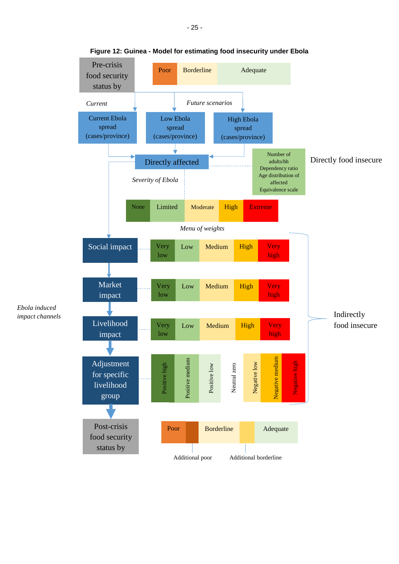

*Ebola induced*

**Figure 12: Guinea - Model for estimating food insecurity under Ebola**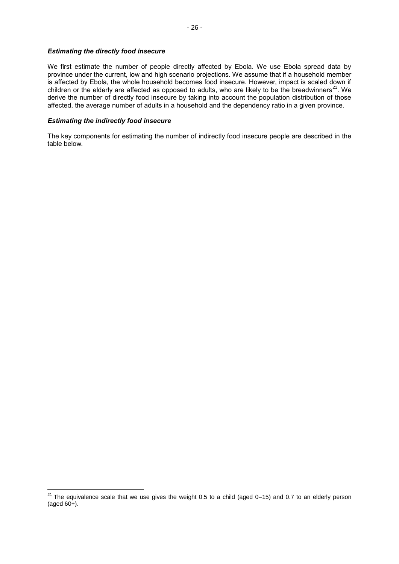#### *Estimating the directly food insecure*

We first estimate the number of people directly affected by Ebola. We use Ebola spread data by province under the current, low and high scenario projections. We assume that if a household member is affected by Ebola, the whole household becomes food insecure. However, impact is scaled down if children or the elderly are affected as opposed to adults, who are likely to be the breadwinners<sup>21</sup>. We derive the number of directly food insecure by taking into account the population distribution of those affected, the average number of adults in a household and the dependency ratio in a given province.

#### *Estimating the indirectly food insecure*

 $\overline{a}$ 

The key components for estimating the number of indirectly food insecure people are described in the table below.

 $^{21}$  The equivalence scale that we use gives the weight 0.5 to a child (aged 0–15) and 0.7 to an elderly person (aged 60+).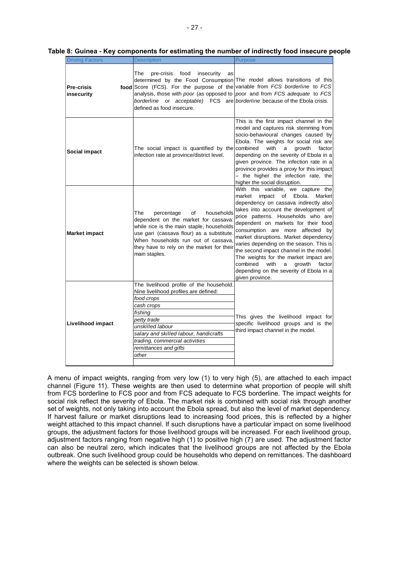|  |  | Table 8: Guinea - Key components for estimating the number of indirectly food insecure people |
|--|--|-----------------------------------------------------------------------------------------------|
|--|--|-----------------------------------------------------------------------------------------------|

| <b>Driving Factors</b>          | <b>Description</b>                                                                                                                                                                                                                                                                                                                                                                               | <b>Purpose</b>                                                                                                                                                                                                                                                                                                                                                                                                                                                                                                                                                |
|---------------------------------|--------------------------------------------------------------------------------------------------------------------------------------------------------------------------------------------------------------------------------------------------------------------------------------------------------------------------------------------------------------------------------------------------|---------------------------------------------------------------------------------------------------------------------------------------------------------------------------------------------------------------------------------------------------------------------------------------------------------------------------------------------------------------------------------------------------------------------------------------------------------------------------------------------------------------------------------------------------------------|
| <b>Pre-crisis</b><br>insecurity | The<br>pre-crisis<br>food<br>insecurity<br>as<br>determined by the Food Consumption The model allows transitions of this<br>food Score (FCS). For the purpose of the variable from FCS borderline to FCS<br>analysis, those with poor (as opposed to poor and from FCS adequate to FCS<br>borderline or acceptable) FCS are borderline because of the Ebola crisis.<br>defined as food insecure. |                                                                                                                                                                                                                                                                                                                                                                                                                                                                                                                                                               |
| Social impact                   | The social impact is quantified by the combined<br>infection rate at province/district level.                                                                                                                                                                                                                                                                                                    | This is the first impact channel in the<br>model and captures risk stemming from<br>socio-behavioural changes caused by<br>Ebola. The weights for social risk are<br>with<br>a<br>growth<br>factor<br>depending on the severity of Ebola in a<br>given province. The infection rate in a<br>province provides a proxy for this impact<br>- the higher the infection rate, the<br>higher the social disruption.                                                                                                                                                |
| <b>Market impact</b>            | The<br>households<br>percentage<br>of<br>dependent on the market for cassava:<br>while rice is the main staple, households<br>use gari (cassava flour) as a substitute.<br>When households run out of cassava,<br>they have to rely on the market for their<br>main staples.                                                                                                                     | With this variable, we capture the<br>market impact of Ebola.<br>Market<br>dependency on cassava indirectly also<br>takes into account the development of<br>price patterns. Households who are<br>dependent on markets for their food<br>consumption are more affected by<br>market disruptions. Market dependency<br>varies depending on the season. This is<br>the second impact channel in the model.<br>The weights for the market impact are<br>combined<br>with<br>growth<br>factor<br>a<br>depending on the severity of Ebola in a<br>given province. |
| Livelihood impact               | The livelihood profile of the household.<br>Nine livelihood profiles are defined:<br>food crops<br>cash crops<br>fishing<br>petty trade<br>unskilled labour<br>salary and skilled labour, handicrafts<br>trading, commercial activities<br>remittances and gifts<br>other                                                                                                                        | This gives the livelihood impact for<br>specific livelihood groups and is the<br>third impact channel in the model.                                                                                                                                                                                                                                                                                                                                                                                                                                           |

A menu of impact weights, ranging from very low (1) to very high (5), are attached to each impact channel (Figure 11). These weights are then used to determine what proportion of people will shift from FCS borderline to FCS poor and from FCS adequate to FCS borderline. The impact weights for social risk reflect the severity of Ebola. The market risk is combined with social risk through another set of weights, not only taking into account the Ebola spread, but also the level of market dependency. If harvest failure or market disruptions lead to increasing food prices, this is reflected by a higher weight attached to this impact channel. If such disruptions have a particular impact on some livelihood groups, the adjustment factors for those livelihood groups will be increased. For each livelihood group, adjustment factors ranging from negative high (1) to positive high (7) are used. The adjustment factor can also be neutral zero, which indicates that the livelihood groups are not affected by the Ebola outbreak. One such livelihood group could be households who depend on remittances. The dashboard where the weights can be selected is shown below.